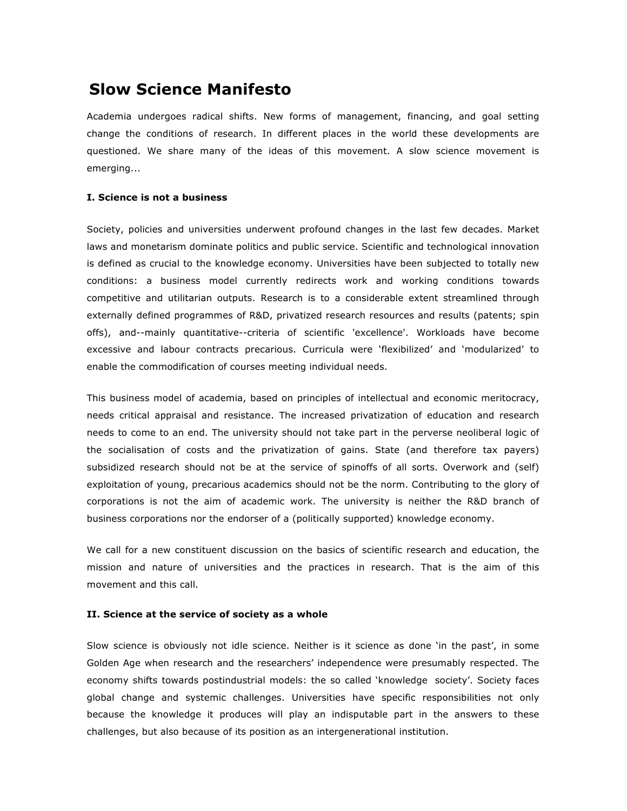# **Slow Science Manifesto**

Academia undergoes radical shifts. New forms of management, financing, and goal setting change the conditions of research. In different places in the world these developments are questioned. We share many of the ideas of this movement. A slow science movement is emerging...

## **I. Science is not a business**

Society, policies and universities underwent profound changes in the last few decades. Market laws and monetarism dominate politics and public service. Scientific and technological innovation is defined as crucial to the knowledge economy. Universities have been subjected to totally new conditions: a business model currently redirects work and working conditions towards competitive and utilitarian outputs. Research is to a considerable extent streamlined through externally defined programmes of R&D, privatized research resources and results (patents; spin offs), and--mainly quantitative--criteria of scientific 'excellence'. Workloads have become excessive and labour contracts precarious. Curricula were 'flexibilized' and 'modularized' to enable the commodification of courses meeting individual needs.

This business model of academia, based on principles of intellectual and economic meritocracy, needs critical appraisal and resistance. The increased privatization of education and research needs to come to an end. The university should not take part in the perverse neoliberal logic of the socialisation of costs and the privatization of gains. State (and therefore tax payers) subsidized research should not be at the service of spinoffs of all sorts. Overwork and (self) exploitation of young, precarious academics should not be the norm. Contributing to the glory of corporations is not the aim of academic work. The university is neither the R&D branch of business corporations nor the endorser of a (politically supported) knowledge economy.

We call for a new constituent discussion on the basics of scientific research and education, the mission and nature of universities and the practices in research. That is the aim of this movement and this call.

# **II. Science at the service of society as a whole**

Slow science is obviously not idle science. Neither is it science as done 'in the past', in some Golden Age when research and the researchers' independence were presumably respected. The economy shifts towards postindustrial models: the so called 'knowledge society'. Society faces global change and systemic challenges. Universities have specific responsibilities not only because the knowledge it produces will play an indisputable part in the answers to these challenges, but also because of its position as an intergenerational institution.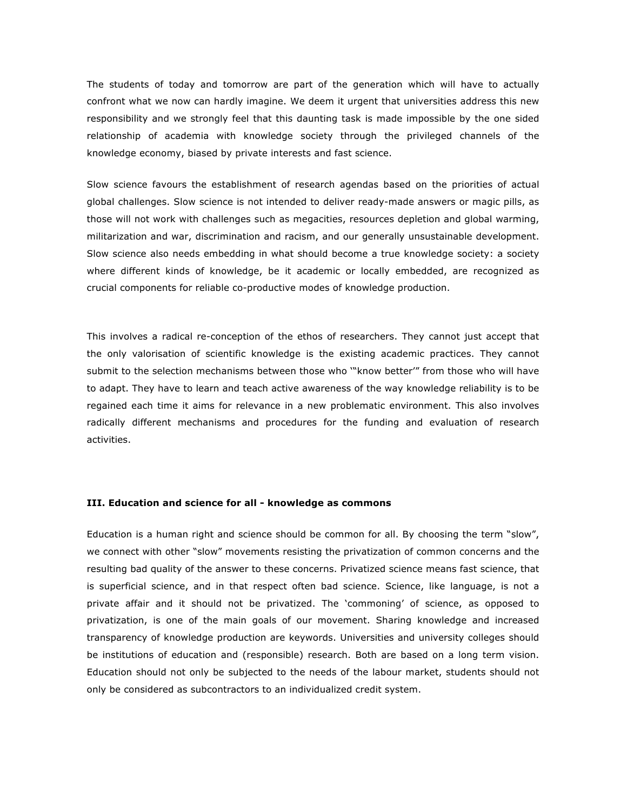The students of today and tomorrow are part of the generation which will have to actually confront what we now can hardly imagine. We deem it urgent that universities address this new responsibility and we strongly feel that this daunting task is made impossible by the one sided relationship of academia with knowledge society through the privileged channels of the knowledge economy, biased by private interests and fast science.

Slow science favours the establishment of research agendas based on the priorities of actual global challenges. Slow science is not intended to deliver ready-made answers or magic pills, as those will not work with challenges such as megacities, resources depletion and global warming, militarization and war, discrimination and racism, and our generally unsustainable development. Slow science also needs embedding in what should become a true knowledge society: a society where different kinds of knowledge, be it academic or locally embedded, are recognized as crucial components for reliable co-productive modes of knowledge production.

This involves a radical re-conception of the ethos of researchers. They cannot just accept that the only valorisation of scientific knowledge is the existing academic practices. They cannot submit to the selection mechanisms between those who '"know better'" from those who will have to adapt. They have to learn and teach active awareness of the way knowledge reliability is to be regained each time it aims for relevance in a new problematic environment. This also involves radically different mechanisms and procedures for the funding and evaluation of research activities.

#### **III. Education and science for all - knowledge as commons**

Education is a human right and science should be common for all. By choosing the term "slow", we connect with other "slow" movements resisting the privatization of common concerns and the resulting bad quality of the answer to these concerns. Privatized science means fast science, that is superficial science, and in that respect often bad science. Science, like language, is not a private affair and it should not be privatized. The 'commoning' of science, as opposed to privatization, is one of the main goals of our movement. Sharing knowledge and increased transparency of knowledge production are keywords. Universities and university colleges should be institutions of education and (responsible) research. Both are based on a long term vision. Education should not only be subjected to the needs of the labour market, students should not only be considered as subcontractors to an individualized credit system.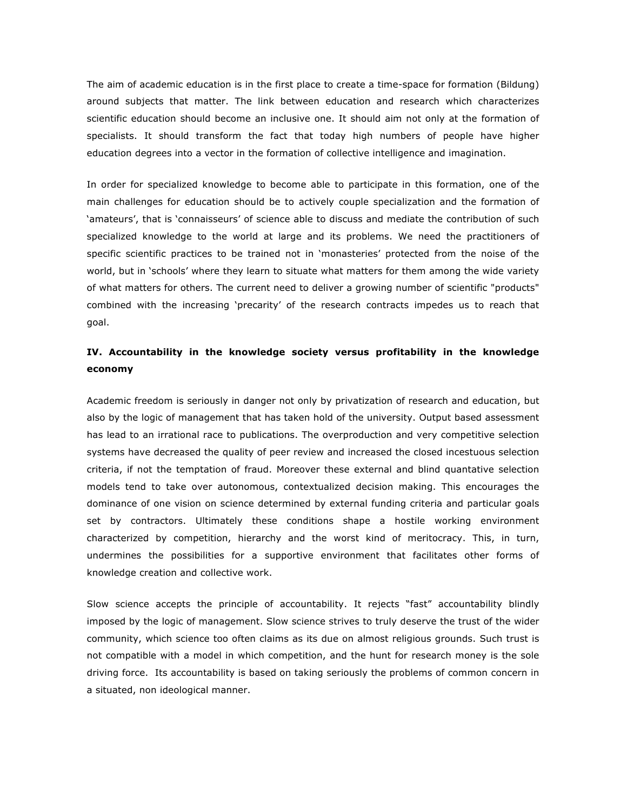The aim of academic education is in the first place to create a time-space for formation (Bildung) around subjects that matter. The link between education and research which characterizes scientific education should become an inclusive one. It should aim not only at the formation of specialists. It should transform the fact that today high numbers of people have higher education degrees into a vector in the formation of collective intelligence and imagination.

In order for specialized knowledge to become able to participate in this formation, one of the main challenges for education should be to actively couple specialization and the formation of 'amateurs', that is 'connaisseurs' of science able to discuss and mediate the contribution of such specialized knowledge to the world at large and its problems. We need the practitioners of specific scientific practices to be trained not in 'monasteries' protected from the noise of the world, but in 'schools' where they learn to situate what matters for them among the wide variety of what matters for others. The current need to deliver a growing number of scientific "products" combined with the increasing 'precarity' of the research contracts impedes us to reach that goal.

# **IV. Accountability in the knowledge society versus profitability in the knowledge economy**

Academic freedom is seriously in danger not only by privatization of research and education, but also by the logic of management that has taken hold of the university. Output based assessment has lead to an irrational race to publications. The overproduction and very competitive selection systems have decreased the quality of peer review and increased the closed incestuous selection criteria, if not the temptation of fraud. Moreover these external and blind quantative selection models tend to take over autonomous, contextualized decision making. This encourages the dominance of one vision on science determined by external funding criteria and particular goals set by contractors. Ultimately these conditions shape a hostile working environment characterized by competition, hierarchy and the worst kind of meritocracy. This, in turn, undermines the possibilities for a supportive environment that facilitates other forms of knowledge creation and collective work.

Slow science accepts the principle of accountability. It rejects "fast" accountability blindly imposed by the logic of management. Slow science strives to truly deserve the trust of the wider community, which science too often claims as its due on almost religious grounds. Such trust is not compatible with a model in which competition, and the hunt for research money is the sole driving force. Its accountability is based on taking seriously the problems of common concern in a situated, non ideological manner.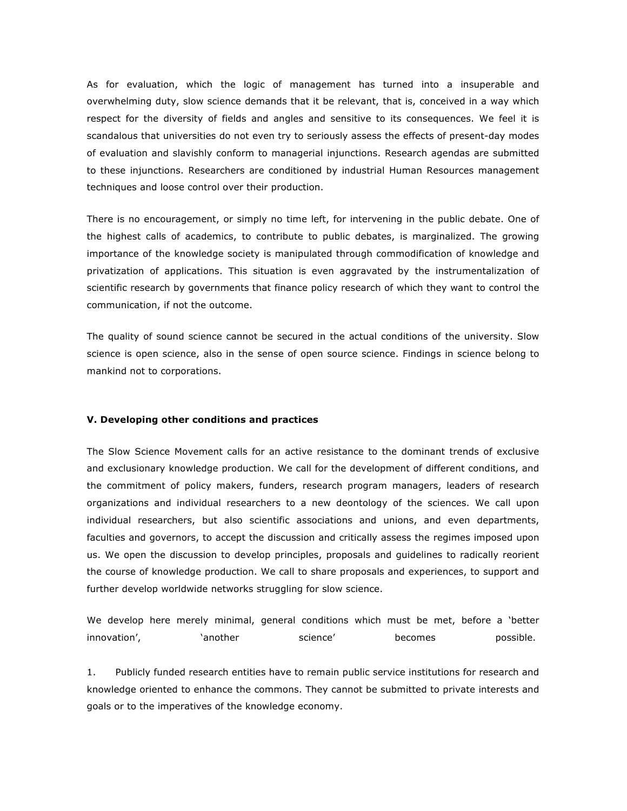As for evaluation, which the logic of management has turned into a insuperable and overwhelming duty, slow science demands that it be relevant, that is, conceived in a way which respect for the diversity of fields and angles and sensitive to its consequences. We feel it is scandalous that universities do not even try to seriously assess the effects of present-day modes of evaluation and slavishly conform to managerial injunctions. Research agendas are submitted to these injunctions. Researchers are conditioned by industrial Human Resources management techniques and loose control over their production.

There is no encouragement, or simply no time left, for intervening in the public debate. One of the highest calls of academics, to contribute to public debates, is marginalized. The growing importance of the knowledge society is manipulated through commodification of knowledge and privatization of applications. This situation is even aggravated by the instrumentalization of scientific research by governments that finance policy research of which they want to control the communication, if not the outcome.

The quality of sound science cannot be secured in the actual conditions of the university. Slow science is open science, also in the sense of open source science. Findings in science belong to mankind not to corporations.

#### **V. Developing other conditions and practices**

The Slow Science Movement calls for an active resistance to the dominant trends of exclusive and exclusionary knowledge production. We call for the development of different conditions, and the commitment of policy makers, funders, research program managers, leaders of research organizations and individual researchers to a new deontology of the sciences. We call upon individual researchers, but also scientific associations and unions, and even departments, faculties and governors, to accept the discussion and critically assess the regimes imposed upon us. We open the discussion to develop principles, proposals and guidelines to radically reorient the course of knowledge production. We call to share proposals and experiences, to support and further develop worldwide networks struggling for slow science.

We develop here merely minimal, general conditions which must be met, before a 'better innovation', another science' becomes possible.

1. Publicly funded research entities have to remain public service institutions for research and knowledge oriented to enhance the commons. They cannot be submitted to private interests and goals or to the imperatives of the knowledge economy.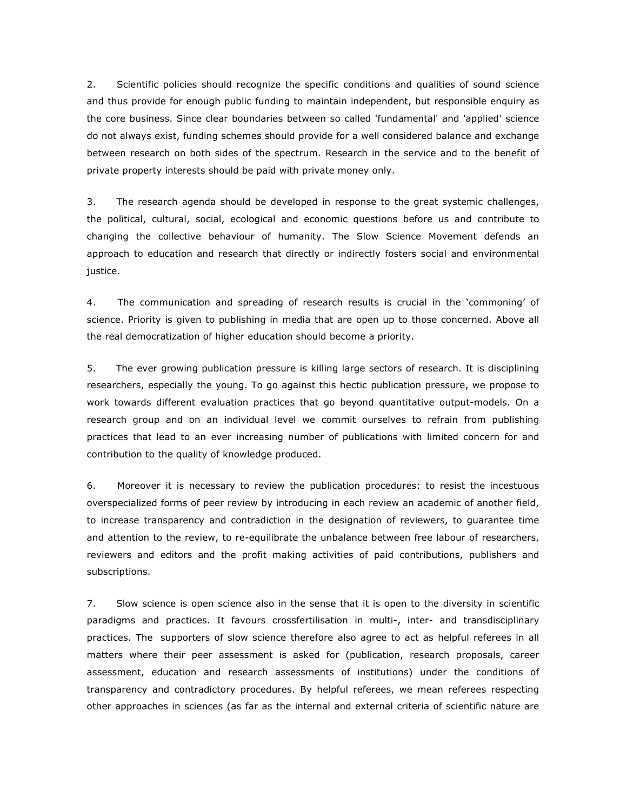2. Scientific policies should recognize the specific conditions and qualities of sound science and thus provide for enough public funding to maintain independent, but responsible enquiry as the core business. Since clear boundaries between so called 'fundamental' and 'applied' science do not always exist, funding schemes should provide for a well considered balance and exchange between research on both sides of the spectrum. Research in the service and to the benefit of private property interests should be paid with private money only.

3. The research agenda should be developed in response to the great systemic challenges, the political, cultural, social, ecological and economic questions before us and contribute to changing the collective behaviour of humanity. The Slow Science Movement defends an approach to education and research that directly or indirectly fosters social and environmental justice.

4. The communication and spreading of research results is crucial in the 'commoning' of science. Priority is given to publishing in media that are open up to those concerned. Above all the real democratization of higher education should become a priority.

5. The ever growing publication pressure is killing large sectors of research. It is disciplining researchers, especially the young. To go against this hectic publication pressure, we propose to work towards different evaluation practices that go beyond quantitative output-models. On a research group and on an individual level we commit ourselves to refrain from publishing practices that lead to an ever increasing number of publications with limited concern for and contribution to the quality of knowledge produced.

6. Moreover it is necessary to review the publication procedures: to resist the incestuous overspecialized forms of peer review by introducing in each review an academic of another field, to increase transparency and contradiction in the designation of reviewers, to guarantee time and attention to the review, to re-equilibrate the unbalance between free labour of researchers, reviewers and editors and the profit making activities of paid contributions, publishers and subscriptions.

7. Slow science is open science also in the sense that it is open to the diversity in scientific paradigms and practices. It favours crossfertilisation in multi-, inter- and transdisciplinary practices. The supporters of slow science therefore also agree to act as helpful referees in all matters where their peer assessment is asked for (publication, research proposals, career assessment, education and research assessments of institutions) under the conditions of transparency and contradictory procedures. By helpful referees, we mean referees respecting other approaches in sciences (as far as the internal and external criteria of scientific nature are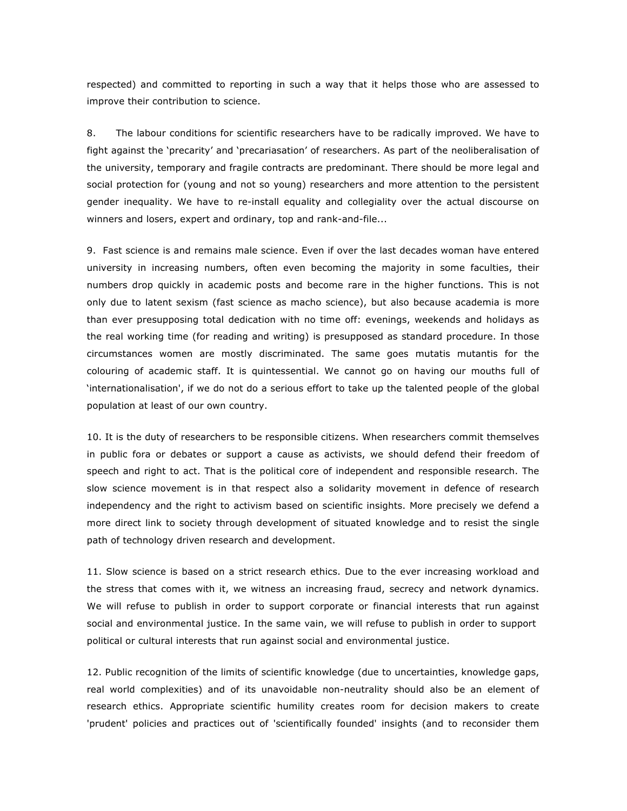respected) and committed to reporting in such a way that it helps those who are assessed to improve their contribution to science.

8. The labour conditions for scientific researchers have to be radically improved. We have to fight against the 'precarity' and 'precariasation' of researchers. As part of the neoliberalisation of the university, temporary and fragile contracts are predominant. There should be more legal and social protection for (young and not so young) researchers and more attention to the persistent gender inequality. We have to re-install equality and collegiality over the actual discourse on winners and losers, expert and ordinary, top and rank-and-file...

9. Fast science is and remains male science. Even if over the last decades woman have entered university in increasing numbers, often even becoming the majority in some faculties, their numbers drop quickly in academic posts and become rare in the higher functions. This is not only due to latent sexism (fast science as macho science), but also because academia is more than ever presupposing total dedication with no time off: evenings, weekends and holidays as the real working time (for reading and writing) is presupposed as standard procedure. In those circumstances women are mostly discriminated. The same goes mutatis mutantis for the colouring of academic staff. It is quintessential. We cannot go on having our mouths full of 'internationalisation', if we do not do a serious effort to take up the talented people of the global population at least of our own country.

10. It is the duty of researchers to be responsible citizens. When researchers commit themselves in public fora or debates or support a cause as activists, we should defend their freedom of speech and right to act. That is the political core of independent and responsible research. The slow science movement is in that respect also a solidarity movement in defence of research independency and the right to activism based on scientific insights. More precisely we defend a more direct link to society through development of situated knowledge and to resist the single path of technology driven research and development.

11. Slow science is based on a strict research ethics. Due to the ever increasing workload and the stress that comes with it, we witness an increasing fraud, secrecy and network dynamics. We will refuse to publish in order to support corporate or financial interests that run against social and environmental justice. In the same vain, we will refuse to publish in order to support political or cultural interests that run against social and environmental justice.

12. Public recognition of the limits of scientific knowledge (due to uncertainties, knowledge gaps, real world complexities) and of its unavoidable non-neutrality should also be an element of research ethics. Appropriate scientific humility creates room for decision makers to create 'prudent' policies and practices out of 'scientifically founded' insights (and to reconsider them